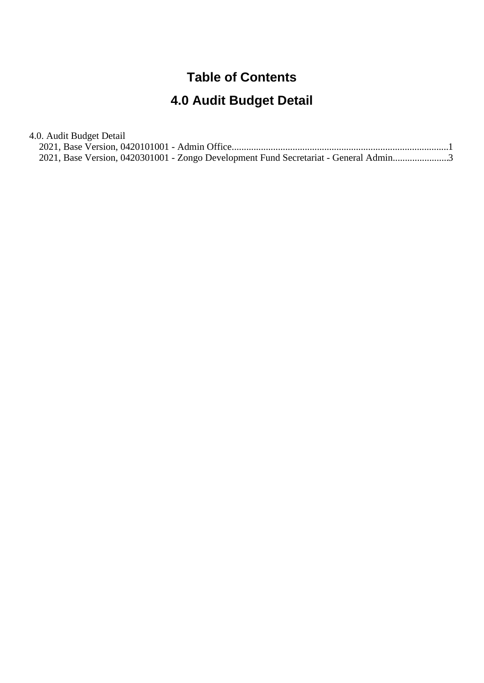## **Table of Contents**

# **4.0 Audit Budget Detail**

4.0. Audit Budget Detail

|  |  |  | 2021, Base Version, 0420301001 - Zongo Development Fund Secretariat - General Admin3 |  |
|--|--|--|--------------------------------------------------------------------------------------|--|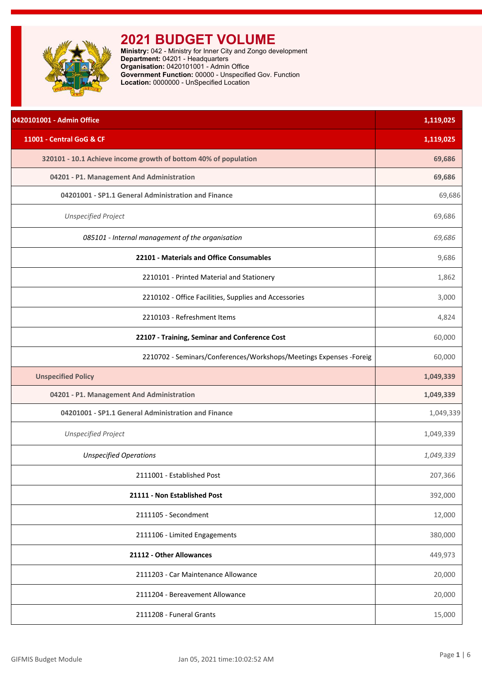<span id="page-1-0"></span>

**Ministry:** 042 - Ministry for Inner City and Zongo development **Department:** 04201 - Headquarters **Organisation:** 0420101001 - Admin Office **Government Function:** 00000 - Unspecified Gov. Function **Location:** 0000000 - UnSpecified Location

| 0420101001 - Admin Office                                           | 1,119,025 |
|---------------------------------------------------------------------|-----------|
| 11001 - Central GoG & CF                                            | 1,119,025 |
| 320101 - 10.1 Achieve income growth of bottom 40% of population     | 69,686    |
| 04201 - P1. Management And Administration                           | 69,686    |
| 04201001 - SP1.1 General Administration and Finance                 | 69,686    |
| <b>Unspecified Project</b>                                          | 69,686    |
| 085101 - Internal management of the organisation                    | 69,686    |
| 22101 - Materials and Office Consumables                            | 9,686     |
| 2210101 - Printed Material and Stationery                           | 1,862     |
| 2210102 - Office Facilities, Supplies and Accessories               | 3,000     |
| 2210103 - Refreshment Items                                         | 4,824     |
| 22107 - Training, Seminar and Conference Cost                       | 60,000    |
| 2210702 - Seminars/Conferences/Workshops/Meetings Expenses - Foreig | 60,000    |
| <b>Unspecified Policy</b>                                           | 1,049,339 |
| 04201 - P1. Management And Administration                           | 1,049,339 |
| 04201001 - SP1.1 General Administration and Finance                 | 1,049,339 |
| <b>Unspecified Project</b>                                          | 1,049,339 |
| <b>Unspecified Operations</b>                                       | 1,049,339 |
| 2111001 - Established Post                                          | 207,366   |
| 21111 - Non Established Post                                        | 392,000   |
| 2111105 - Secondment                                                | 12,000    |
| 2111106 - Limited Engagements                                       | 380,000   |
| 21112 - Other Allowances                                            | 449,973   |
| 2111203 - Car Maintenance Allowance                                 | 20,000    |
| 2111204 - Bereavement Allowance                                     | 20,000    |
| 2111208 - Funeral Grants                                            | 15,000    |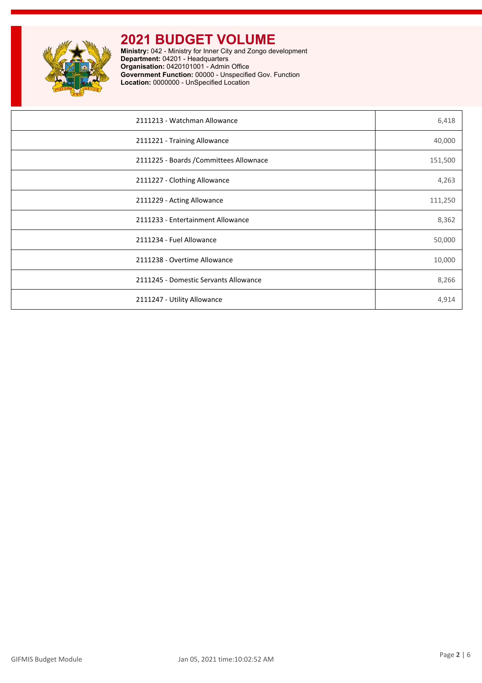

**Ministry:** 042 - Ministry for Inner City and Zongo development **Department:** 04201 - Headquarters **Organisation:** 0420101001 - Admin Office **Government Function:** 00000 - Unspecified Gov. Function **Location:** 0000000 - UnSpecified Location

| 2111213 - Watchman Allowance            | 6,418   |
|-----------------------------------------|---------|
| 2111221 - Training Allowance            | 40,000  |
| 2111225 - Boards / Committees Allownace | 151,500 |
| 2111227 - Clothing Allowance            | 4,263   |
| 2111229 - Acting Allowance              | 111,250 |
| 2111233 - Entertainment Allowance       | 8,362   |
| 2111234 - Fuel Allowance                | 50,000  |
| 2111238 - Overtime Allowance            | 10,000  |
| 2111245 - Domestic Servants Allowance   | 8,266   |
| 2111247 - Utility Allowance             | 4,914   |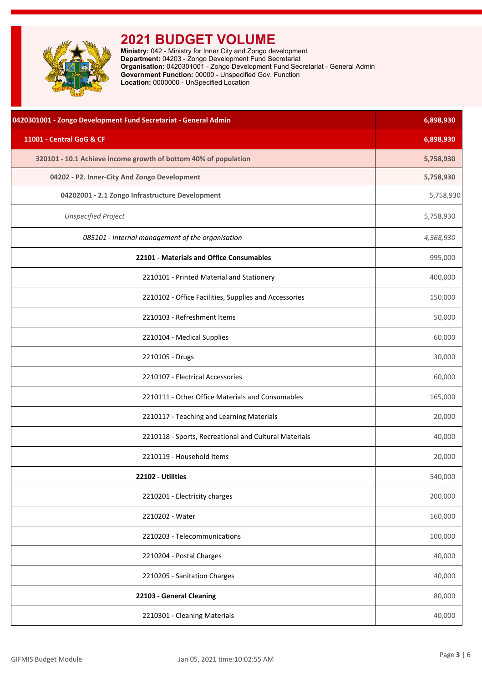<span id="page-3-0"></span>

| 0420301001 - Zongo Development Fund Secretariat - General Admin | 6,898,930 |
|-----------------------------------------------------------------|-----------|
| 11001 - Central GoG & CF                                        | 6,898,930 |
| 320101 - 10.1 Achieve income growth of bottom 40% of population | 5,758,930 |
| 04202 - P2. Inner-City And Zongo Development                    | 5,758,930 |
| 04202001 - 2.1 Zongo Infrastructure Development                 | 5,758,930 |
| <b>Unspecified Project</b>                                      | 5,758,930 |
| 085101 - Internal management of the organisation                | 4,368,930 |
| 22101 - Materials and Office Consumables                        | 995,000   |
| 2210101 - Printed Material and Stationery                       | 400,000   |
| 2210102 - Office Facilities, Supplies and Accessories           | 150,000   |
| 2210103 - Refreshment Items                                     | 50,000    |
| 2210104 - Medical Supplies                                      | 60,000    |
| 2210105 - Drugs                                                 | 30,000    |
| 2210107 - Electrical Accessories                                | 60,000    |
| 2210111 - Other Office Materials and Consumables                | 165,000   |
| 2210117 - Teaching and Learning Materials                       | 20,000    |
| 2210118 - Sports, Recreational and Cultural Materials           | 40,000    |
| 2210119 - Household Items                                       | 20,000    |
| 22102 - Utilities                                               | 540,000   |
| 2210201 - Electricity charges                                   | 200,000   |
| 2210202 - Water                                                 | 160,000   |
| 2210203 - Telecommunications                                    | 100,000   |
| 2210204 - Postal Charges                                        | 40,000    |
| 2210205 - Sanitation Charges                                    | 40,000    |
| 22103 - General Cleaning                                        | 80,000    |
| 2210301 - Cleaning Materials                                    | 40,000    |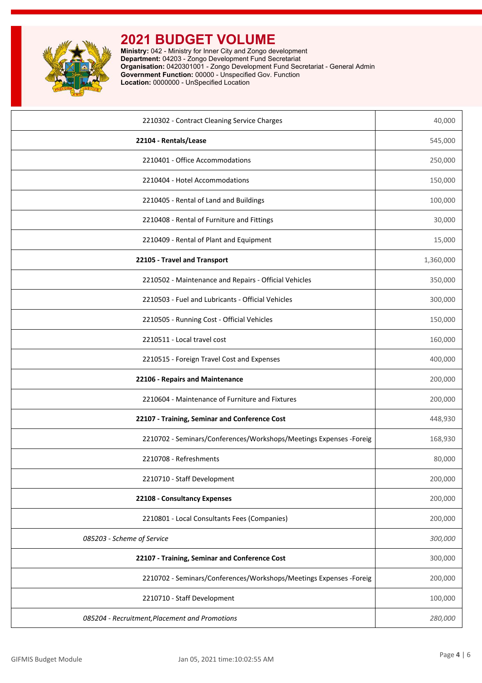

| 2210302 - Contract Cleaning Service Charges                        | 40,000    |
|--------------------------------------------------------------------|-----------|
| 22104 - Rentals/Lease                                              | 545,000   |
| 2210401 - Office Accommodations                                    | 250,000   |
| 2210404 - Hotel Accommodations                                     | 150,000   |
| 2210405 - Rental of Land and Buildings                             | 100,000   |
| 2210408 - Rental of Furniture and Fittings                         | 30,000    |
| 2210409 - Rental of Plant and Equipment                            | 15,000    |
| 22105 - Travel and Transport                                       | 1,360,000 |
| 2210502 - Maintenance and Repairs - Official Vehicles              | 350,000   |
| 2210503 - Fuel and Lubricants - Official Vehicles                  | 300,000   |
| 2210505 - Running Cost - Official Vehicles                         | 150,000   |
| 2210511 - Local travel cost                                        | 160,000   |
| 2210515 - Foreign Travel Cost and Expenses                         | 400,000   |
|                                                                    |           |
| 22106 - Repairs and Maintenance                                    | 200,000   |
| 2210604 - Maintenance of Furniture and Fixtures                    | 200,000   |
| 22107 - Training, Seminar and Conference Cost                      | 448,930   |
| 2210702 - Seminars/Conferences/Workshops/Meetings Expenses -Foreig | 168,930   |
| 2210708 - Refreshments                                             | 80,000    |
| 2210710 - Staff Development                                        | 200,000   |
| 22108 - Consultancy Expenses                                       | 200,000   |
| 2210801 - Local Consultants Fees (Companies)                       | 200,000   |
| 085203 - Scheme of Service                                         | 300,000   |
| 22107 - Training, Seminar and Conference Cost                      | 300,000   |
| 2210702 - Seminars/Conferences/Workshops/Meetings Expenses -Foreig | 200,000   |
| 2210710 - Staff Development                                        | 100,000   |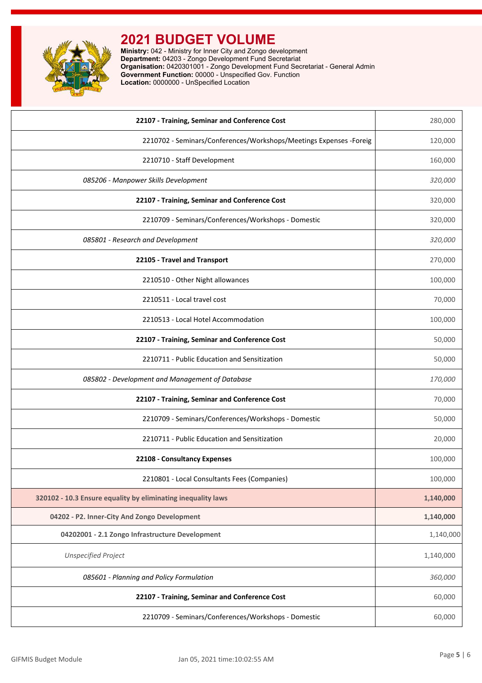

| 22107 - Training, Seminar and Conference Cost                       | 280,000   |
|---------------------------------------------------------------------|-----------|
| 2210702 - Seminars/Conferences/Workshops/Meetings Expenses - Foreig | 120,000   |
| 2210710 - Staff Development                                         | 160,000   |
| 085206 - Manpower Skills Development                                | 320,000   |
| 22107 - Training, Seminar and Conference Cost                       | 320,000   |
| 2210709 - Seminars/Conferences/Workshops - Domestic                 | 320,000   |
| 085801 - Research and Development                                   | 320,000   |
| 22105 - Travel and Transport                                        | 270,000   |
| 2210510 - Other Night allowances                                    | 100,000   |
| 2210511 - Local travel cost                                         | 70,000    |
| 2210513 - Local Hotel Accommodation                                 | 100,000   |
| 22107 - Training, Seminar and Conference Cost                       | 50,000    |
| 2210711 - Public Education and Sensitization                        | 50,000    |
| 085802 - Development and Management of Database                     | 170,000   |
| 22107 - Training, Seminar and Conference Cost                       | 70,000    |
| 2210709 - Seminars/Conferences/Workshops - Domestic                 | 50,000    |
| 2210711 - Public Education and Sensitization                        | 20,000    |
| 22108 - Consultancy Expenses                                        | 100,000   |
| 2210801 - Local Consultants Fees (Companies)                        | 100,000   |
| 320102 - 10.3 Ensure equality by eliminating inequality laws        | 1,140,000 |
| 04202 - P2. Inner-City And Zongo Development                        | 1,140,000 |
| 04202001 - 2.1 Zongo Infrastructure Development                     | 1,140,000 |
| <b>Unspecified Project</b>                                          | 1,140,000 |
| 085601 - Planning and Policy Formulation                            | 360,000   |
| 22107 - Training, Seminar and Conference Cost                       | 60,000    |
| 2210709 - Seminars/Conferences/Workshops - Domestic                 | 60,000    |